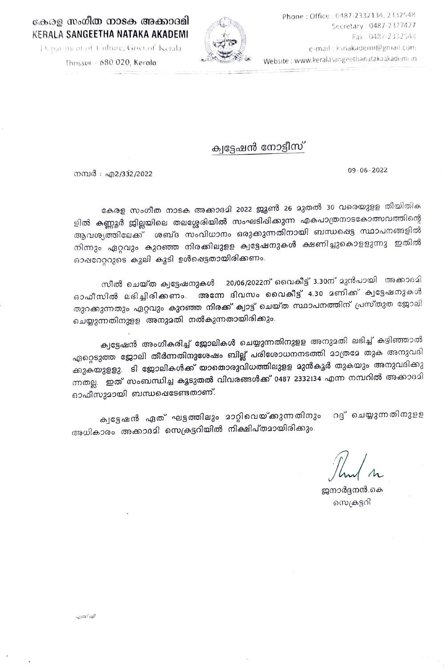## കേരള സംഗീത നാടക അക്കാദമി KERALA SANGEETHA NATAKA AKADEMI



Thrissur - 680 020, Kerala

## ക്വട്ടേഷൻ നോട്ടീസ്

നമ്പർ : എ2/332/2022

കേരള സംഗീത നാടക അക്കാദമി 2022 ജ്യൂൺ 26 മുതൽ 30 വരെയുളള തീയിതിക ളിൽ കണ്ണൂർ ജില്ലയിലെ തലശ്ശേരിയിൽ സംഘടിപ്പിക്കുന്ന എകപാത്രനാടകോത്സവത്തിന്റെ ആവശ്യത്തിലേക്ക് ശബ്ദ സംവിധാനം ഒരുക്കുന്നതിനായി ബന്ധഷെട്ട സ്ഥാപനങ്ങളിൽ നിന്നും ഏറ്റവും കുറഞ്ഞ നിരക്കിലുളള ക്വട്ടേഷനുകൾ ക്ഷണിച്ചുകൊളളുന്നു. ഇതിൽ ഓപ്പറേറ്ററുടെ കുലി കൂടി ഉൾപ്പെട്ടതായിരിക്കണം.

സീൽ ചെയ്ത ക്വട്ടേഷനുകൾ 20/06/2022ന് വൈകീട്ട് 3.30ന് മുൻപായി അക്കാദമി ഓഫീസിൽ ലഭിച്ചിരിക്കണം. അന്നേ ദിവസം വൈകീട്ട് 4.30 മണിക്ക് ക്വട്ടേഷനുകൾ തുറക്കുന്നതും ഏറ്റവും <mark>കുറഞ്ഞ നിരക്ക് ക്വാട്ട് ചെയ്ത സ്ഥാപനത്തി</mark>ന് പ്രസ്തുത ജോലി ചെയ്യുന്നതിനുളള അനുമതി നൽകുന്നതായിരിക്കും.

ക്വട്ടേഷൻ അംഗീകരിച്ച് ജോലികൾ ചെയ്യുന്നതിനുളള അനുമതി ലഭിച്ച് കഴിഞ്ഞാൽ ഏറ്റെടുത്ത ജോലി തീർന്നതിനുശേഷം ബില്ല് പരിശോധനനടത്തി മാത്രമേ തുക അനുവദി ക്കുകയുളളു. ടി ജോലികൾക്ക് യാതൊരുവിധത്തിലുളള മുൻകൂർ തുകയും അനുവദിക്കു ന്നതല്ല. ഇത് സംബന്ധിച്ച കൂടുതൽ വിവരങ്ങൾക്ക് 0487 2332134 എന്ന നമ്പറിൽ അക്കാദമി ഓഫീസുമായി ബന്ധഷെടേണ്ടതാണ്.

റദ്ദ് ചെയ്യുന്നതിനുളള ക്വട്ടേഷൻ ഏത് ഘട്ടത്തിലും മാറ്റിവെയ്ക്കുന്നതിനും അധികാരം അക്കാദമി സെക്രട്ടറിയിൽ നിക്ഷിപ്തമായിരിക്കും.

ജനാർദ്ദനൻ കെ സെക്രട്ടറി

09-06-2022



Phone: Office: 0487-2332134, 2332548 Secretary: 0487-2327427 Fax: 0487-2332548 e-mäil: ksnakademi@gmail.com Website: www.keralasangeethanatakaakademi.in